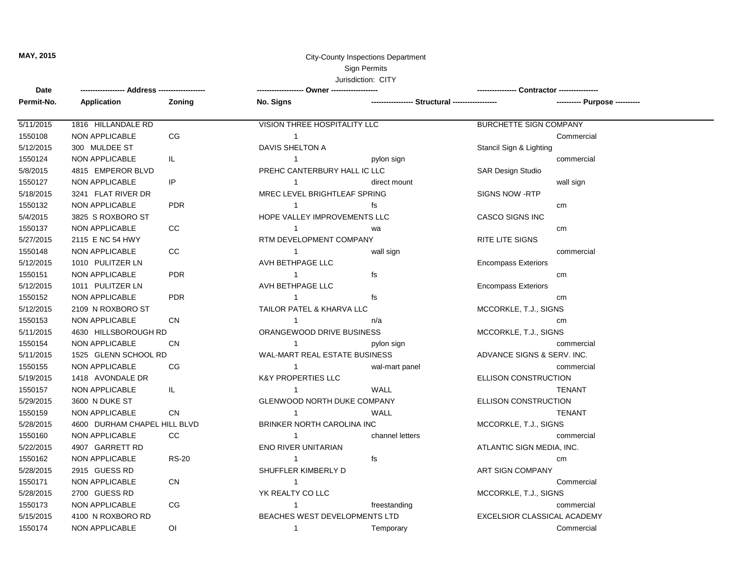## **MAY, 2015** City-County Inspections Department Sign Permits Jurisdiction: CITY

| Date       |                       |                              |                                    |                            |                             |                       |  |
|------------|-----------------------|------------------------------|------------------------------------|----------------------------|-----------------------------|-----------------------|--|
| Permit-No. | <b>Application</b>    | Zoning                       | No. Signs                          |                            |                             |                       |  |
| 5/11/2015  | 1816 HILLANDALE RD    |                              | VISION THREE HOSPITALITY LLC       |                            | BURCHETTE SIGN COMPANY      |                       |  |
| 1550108    | <b>NON APPLICABLE</b> | CG                           | $\overline{1}$                     |                            |                             | Commercial            |  |
| 5/12/2015  | 300 MULDEE ST         |                              | DAVIS SHELTON A                    |                            | Stancil Sign & Lighting     |                       |  |
| 1550124    | <b>NON APPLICABLE</b> | IL.                          | $\mathbf{1}$                       | pylon sign                 |                             | commercial            |  |
| 5/8/2015   | 4815 EMPEROR BLVD     |                              | PREHC CANTERBURY HALL IC LLC       |                            | <b>SAR Design Studio</b>    |                       |  |
| 1550127    | <b>NON APPLICABLE</b> | IP                           | $\mathbf{1}$                       | direct mount               |                             | wall sign             |  |
| 5/18/2015  | 3241 FLAT RIVER DR    |                              | MREC LEVEL BRIGHTLEAF SPRING       |                            | <b>SIGNS NOW -RTP</b>       |                       |  |
| 1550132    | NON APPLICABLE        | <b>PDR</b>                   | -1                                 | fs                         |                             | cm                    |  |
| 5/4/2015   | 3825 S ROXBORO ST     |                              | HOPE VALLEY IMPROVEMENTS LLC       |                            | <b>CASCO SIGNS INC</b>      |                       |  |
| 1550137    | <b>NON APPLICABLE</b> | CC                           | $\mathbf{1}$                       | wa                         |                             | cm                    |  |
| 5/27/2015  | 2115 E NC 54 HWY      |                              | RTM DEVELOPMENT COMPANY            |                            | <b>RITE LITE SIGNS</b>      |                       |  |
| 1550148    | <b>NON APPLICABLE</b> | CC                           | $\mathbf{1}$                       | wall sign                  |                             | commercial            |  |
| 5/12/2015  | 1010 PULITZER LN      |                              | AVH BETHPAGE LLC                   |                            | <b>Encompass Exteriors</b>  |                       |  |
| 1550151    | NON APPLICABLE        | <b>PDR</b>                   | $\mathbf{1}$                       | fs                         |                             | cm                    |  |
| 5/12/2015  | 1011 PULITZER LN      |                              | AVH BETHPAGE LLC                   |                            | <b>Encompass Exteriors</b>  |                       |  |
| 1550152    | NON APPLICABLE        | <b>PDR</b>                   | $\mathbf{1}$                       | fs                         |                             | cm                    |  |
| 5/12/2015  | 2109 N ROXBORO ST     |                              | TAILOR PATEL & KHARVA LLC          |                            | MCCORKLE, T.J., SIGNS       |                       |  |
| 1550153    | NON APPLICABLE        | <b>CN</b>                    | $\mathbf{1}$                       | n/a                        |                             | cm                    |  |
| 5/11/2015  | 4630 HILLSBOROUGH RD  |                              | ORANGEWOOD DRIVE BUSINESS          |                            | MCCORKLE, T.J., SIGNS       |                       |  |
| 1550154    | <b>NON APPLICABLE</b> | <b>CN</b>                    | $\mathbf{1}$                       | pylon sign                 |                             | commercial            |  |
| 5/11/2015  | 1525 GLENN SCHOOL RD  |                              | WAL-MART REAL ESTATE BUSINESS      |                            | ADVANCE SIGNS & SERV. INC.  |                       |  |
| 1550155    | <b>NON APPLICABLE</b> | CG                           | $\mathbf{1}$                       | wal-mart panel             |                             | commercial            |  |
| 5/19/2015  | 1418 AVONDALE DR      |                              | <b>K&amp;Y PROPERTIES LLC</b>      |                            | ELLISON CONSTRUCTION        |                       |  |
| 1550157    | NON APPLICABLE        | IL                           | $\mathbf{1}$                       | WALL                       |                             | <b>TENANT</b>         |  |
| 5/29/2015  | 3600 N DUKE ST        |                              | <b>GLENWOOD NORTH DUKE COMPANY</b> |                            | ELLISON CONSTRUCTION        |                       |  |
| 1550159    | <b>NON APPLICABLE</b> | <b>CN</b>                    | $\overline{1}$                     | <b>WALL</b>                |                             | <b>TENANT</b>         |  |
| 5/28/2015  |                       | 4600 DURHAM CHAPEL HILL BLVD |                                    | BRINKER NORTH CAROLINA INC |                             | MCCORKLE, T.J., SIGNS |  |
| 1550160    | <b>NON APPLICABLE</b> | CC                           | $\overline{1}$                     | channel letters            |                             | commercial            |  |
| 5/22/2015  | 4907 GARRETT RD       |                              | <b>ENO RIVER UNITARIAN</b>         |                            | ATLANTIC SIGN MEDIA, INC.   |                       |  |
| 1550162    | <b>NON APPLICABLE</b> | <b>RS-20</b>                 | $\mathbf{1}$                       | fs                         |                             | cm                    |  |
| 5/28/2015  | 2915 GUESS RD         |                              | SHUFFLER KIMBERLY D                |                            | <b>ART SIGN COMPANY</b>     |                       |  |
| 1550171    | NON APPLICABLE        | <b>CN</b>                    | $\mathbf{1}$                       |                            |                             | Commercial            |  |
| 5/28/2015  | 2700 GUESS RD         |                              | YK REALTY CO LLC                   |                            | MCCORKLE, T.J., SIGNS       |                       |  |
| 1550173    | <b>NON APPLICABLE</b> | CG                           | $\mathbf{1}$                       | freestanding               |                             | commercial            |  |
| 5/15/2015  | 4100 N ROXBORO RD     |                              | BEACHES WEST DEVELOPMENTS LTD      |                            | EXCELSIOR CLASSICAL ACADEMY |                       |  |
| 1550174    | NON APPLICABLE        | ΟI                           | $\mathbf{1}$                       | Temporary                  |                             | Commercial            |  |